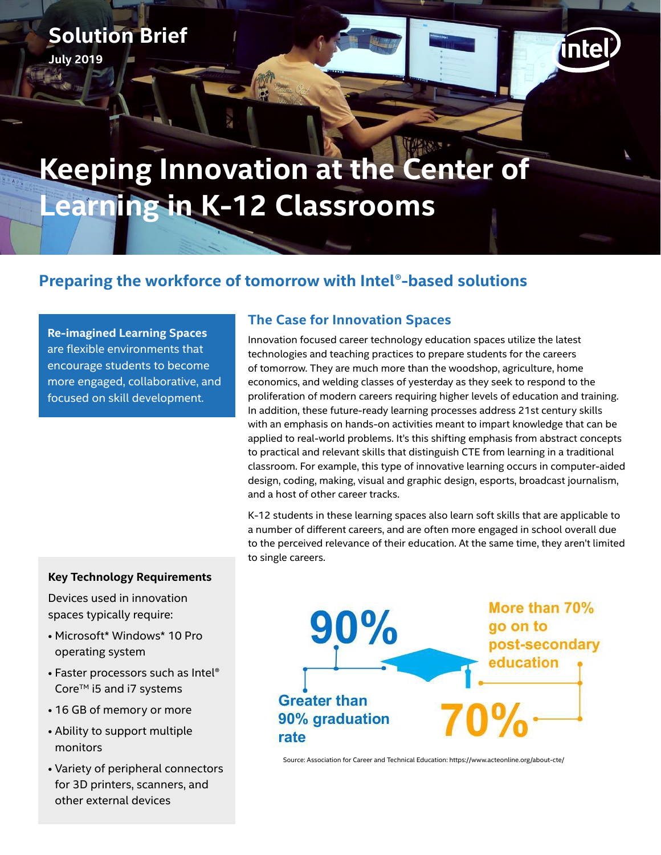## **Solution Brief**

**July 2019**

# **Keeping Innovation at the Center of Learning in K-12 Classrooms**

### **Preparing the workforce of tomorrow with Intel®-based solutions**

**Re-imagined Learning Spaces**  are flexible environments that encourage students to become more engaged, collaborative, and focused on skill development.

#### **The Case for Innovation Spaces**

Innovation focused career technology education spaces utilize the latest technologies and teaching practices to prepare students for the careers of tomorrow. They are much more than the woodshop, agriculture, home economics, and welding classes of yesterday as they seek to respond to the proliferation of modern careers requiring higher levels of education and training. In addition, these future-ready learning processes address 21st century skills with an emphasis on hands-on activities meant to impart knowledge that can be applied to real-world problems. It's this shifting emphasis from abstract concepts to practical and relevant skills that distinguish CTE from learning in a traditional classroom. For example, this type of innovative learning occurs in computer-aided design, coding, making, visual and graphic design, esports, broadcast journalism, and a host of other career tracks.

intel

K-12 students in these learning spaces also learn soft skills that are applicable to a number of different careers, and are often more engaged in school overall due to the perceived relevance of their education. At the same time, they aren't limited to single careers.

#### **Key Technology Requirements**

Devices used in innovation spaces typically require:

- Microsoft\* Windows\* 10 Pro operating system
- Faster processors such as Intel® Core<sup>™</sup> i5 and i7 systems
- 16 GB of memory or more
- Ability to support multiple monitors
- Variety of peripheral connectors for 3D printers, scanners, and other external devices



Source: Association for Career and Technical Education: https://www.acteonline.org/about-cte/